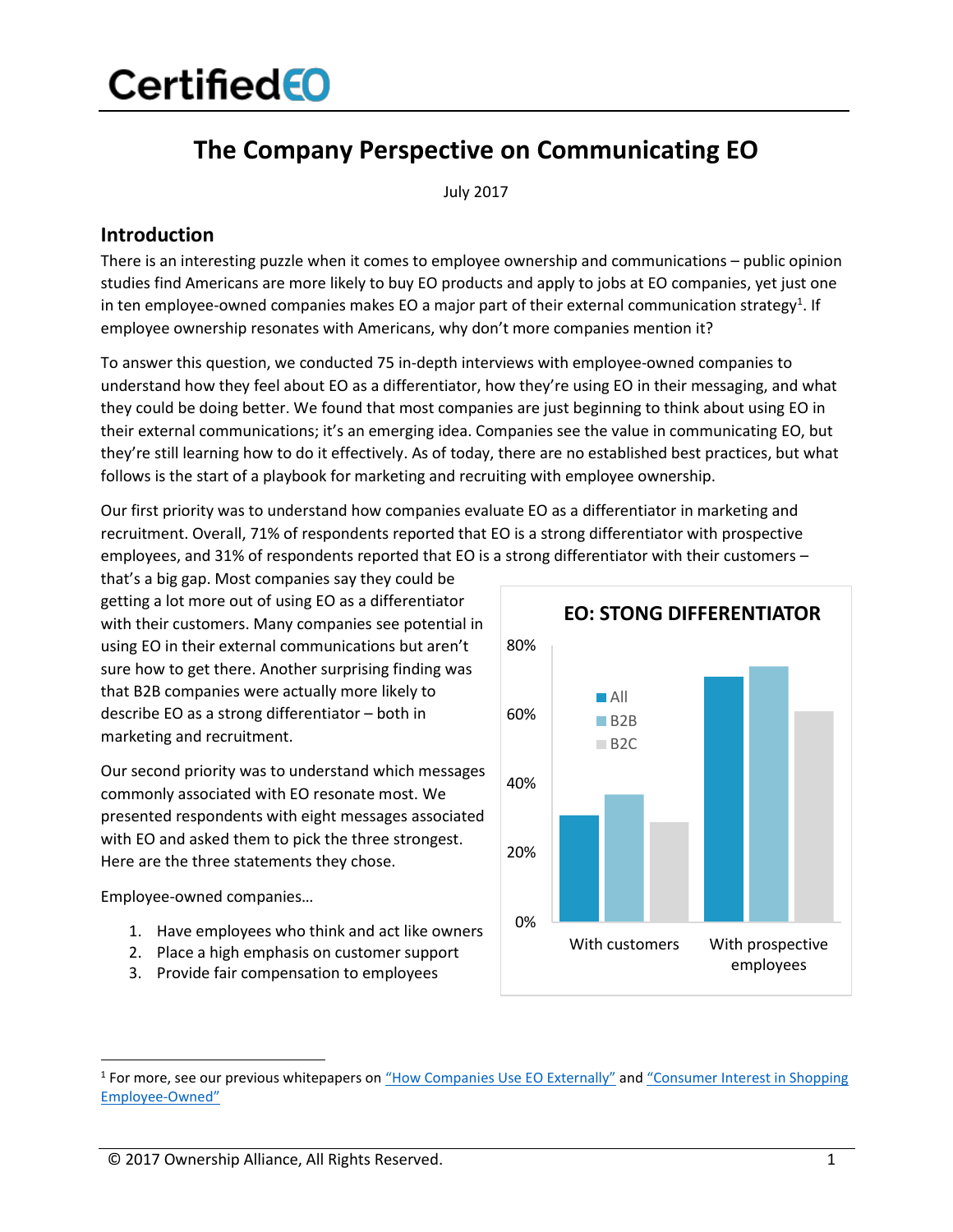### **The Company Perspective on Communicating EO**

July 2017

#### **Introduction**

There is an interesting puzzle when it comes to employee ownership and communications – public opinion studies find Americans are more likely to buy EO products and apply to jobs at EO companies, yet just one in ten employee-owned companies makes EO a major part of their external communication strategy<sup>1</sup>. If employee ownership resonates with Americans, why don't more companies mention it?

To answer this question, we conducted 75 in-depth interviews with employee-owned companies to understand how they feel about EO as a differentiator, how they're using EO in their messaging, and what they could be doing better. We found that most companies are just beginning to think about using EO in their external communications; it's an emerging idea. Companies see the value in communicating EO, but they're still learning how to do it effectively. As of today, there are no established best practices, but what follows is the start of a playbook for marketing and recruiting with employee ownership.

Our first priority was to understand how companies evaluate EO as a differentiator in marketing and recruitment. Overall, 71% of respondents reported that EO is a strong differentiator with prospective employees, and 31% of respondents reported that EO is a strong differentiator with their customers -

that's a big gap. Most companies say they could be getting a lot more out of using EO as a differentiator with their customers. Many companies see potential in using EO in their external communications but aren't sure how to get there. Another surprising finding was that B2B companies were actually more likely to describe EO as a strong differentiator – both in marketing and recruitment.

Our second priority was to understand which messages commonly associated with EO resonate most. We presented respondents with eight messages associated with EO and asked them to pick the three strongest. Here are the three statements they chose.

Employee-owned companies…

- 1. Have employees who think and act like owners
- 2. Place a high emphasis on customer support
- 3. Provide fair compensation to employees



<sup>&</sup>lt;sup>1</sup> For more, see our previous whitepapers on "How [Companies Use EO](https://www.certifiedeo.com/documents/how-companies-use-eo-externally) Externally" and "Consumer Interest in Shopping [Employee-Owned](https://www.certifiedeo.com/documents/consumer-interest-in-shopping-employee-owned)"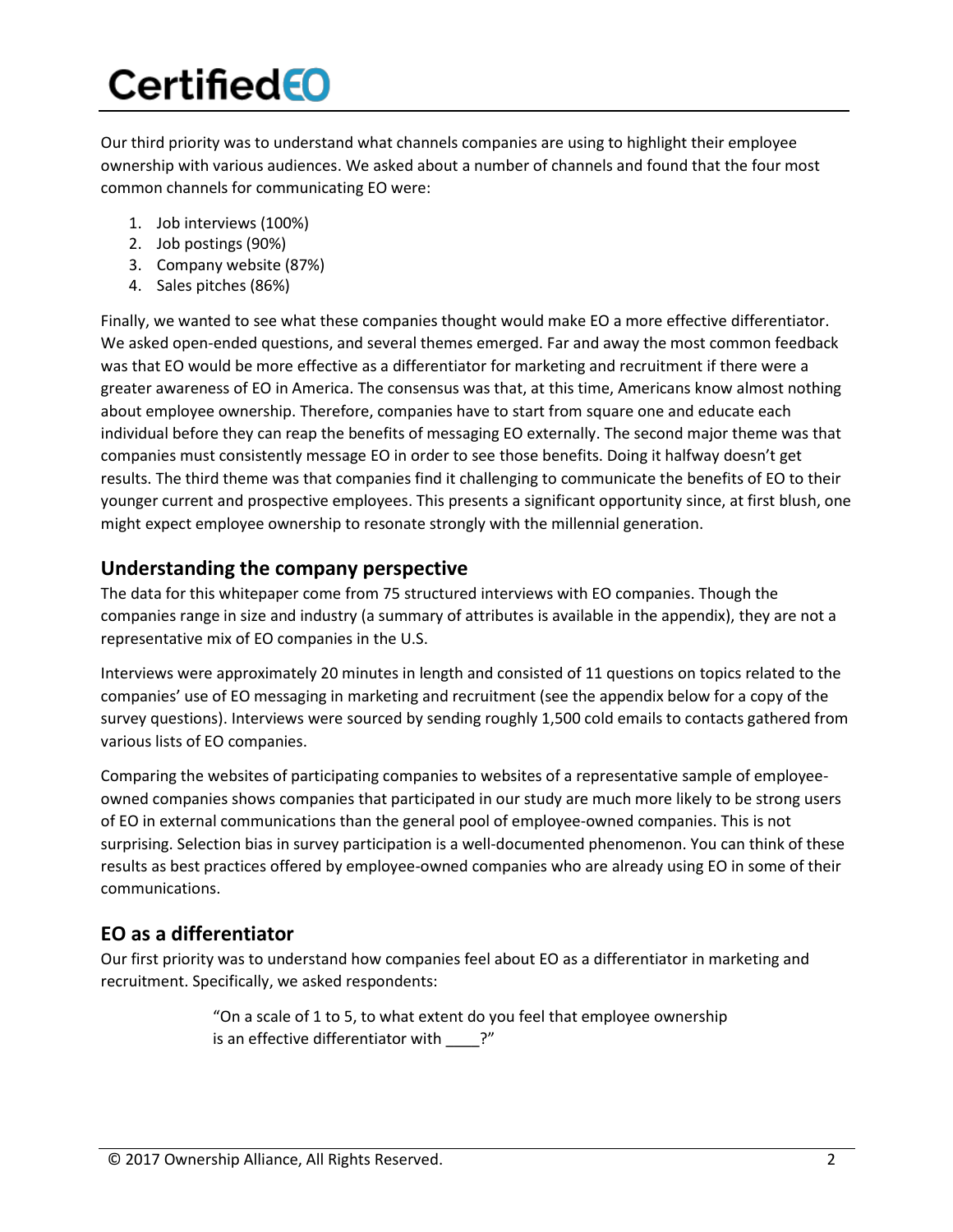Our third priority was to understand what channels companies are using to highlight their employee ownership with various audiences. We asked about a number of channels and found that the four most common channels for communicating EO were:

- 1. Job interviews (100%)
- 2. Job postings (90%)
- 3. Company website (87%)
- 4. Sales pitches (86%)

Finally, we wanted to see what these companies thought would make EO a more effective differentiator. We asked open-ended questions, and several themes emerged. Far and away the most common feedback was that EO would be more effective as a differentiator for marketing and recruitment if there were a greater awareness of EO in America. The consensus was that, at this time, Americans know almost nothing about employee ownership. Therefore, companies have to start from square one and educate each individual before they can reap the benefits of messaging EO externally. The second major theme was that companies must consistently message EO in order to see those benefits. Doing it halfway doesn't get results. The third theme was that companies find it challenging to communicate the benefits of EO to their younger current and prospective employees. This presents a significant opportunity since, at first blush, one might expect employee ownership to resonate strongly with the millennial generation.

#### **Understanding the company perspective**

The data for this whitepaper come from 75 structured interviews with EO companies. Though the companies range in size and industry (a summary of attributes is available in the appendix), they are not a representative mix of EO companies in the U.S.

Interviews were approximately 20 minutes in length and consisted of 11 questions on topics related to the companies' use of EO messaging in marketing and recruitment (see the appendix below for a copy of the survey questions). Interviews were sourced by sending roughly 1,500 cold emails to contacts gathered from various lists of EO companies.

Comparing the websites of participating companies to websites of a representative sample of employeeowned companies shows companies that participated in our study are much more likely to be strong users of EO in external communications than the general pool of employee-owned companies. This is not surprising. Selection bias in survey participation is a well-documented phenomenon. You can think of these results as best practices offered by employee-owned companies who are already using EO in some of their communications.

### **EO as a differentiator**

Our first priority was to understand how companies feel about EO as a differentiator in marketing and recruitment. Specifically, we asked respondents:

> "On a scale of 1 to 5, to what extent do you feel that employee ownership is an effective differentiator with ?"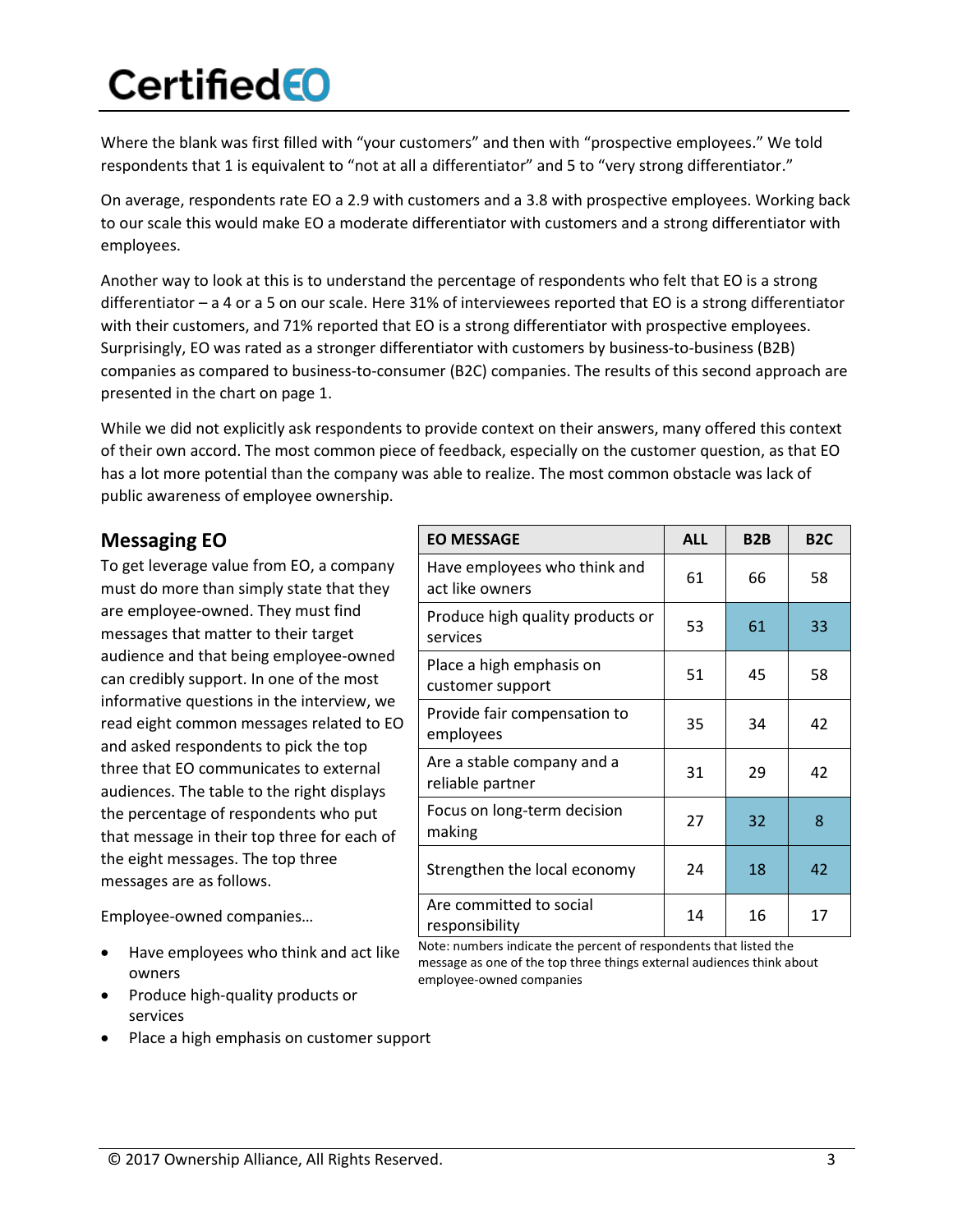Where the blank was first filled with "your customers" and then with "prospective employees." We told respondents that 1 is equivalent to "not at all a differentiator" and 5 to "very strong differentiator."

On average, respondents rate EO a 2.9 with customers and a 3.8 with prospective employees. Working back to our scale this would make EO a moderate differentiator with customers and a strong differentiator with employees.

Another way to look at this is to understand the percentage of respondents who felt that EO is a strong differentiator – a 4 or a 5 on our scale. Here 31% of interviewees reported that EO is a strong differentiator with their customers, and 71% reported that EO is a strong differentiator with prospective employees. Surprisingly, EO was rated as a stronger differentiator with customers by business-to-business (B2B) companies as compared to business-to-consumer (B2C) companies. The results of this second approach are presented in the chart on page 1.

While we did not explicitly ask respondents to provide context on their answers, many offered this context of their own accord. The most common piece of feedback, especially on the customer question, as that EO has a lot more potential than the company was able to realize. The most common obstacle was lack of public awareness of employee ownership.

### **Messaging EO**

To get leverage value from EO, a company must do more than simply state that they are employee-owned. They must find messages that matter to their target audience and that being employee-owned can credibly support. In one of the most informative questions in the interview, we read eight common messages related to EO and asked respondents to pick the top three that EO communicates to external audiences. The table to the right displays the percentage of respondents who put that message in their top three for each of the eight messages. The top three messages are as follows.

Employee-owned companies…

- Have employees who think and act like owners
- Produce high-quality products or services
- Place a high emphasis on customer support

| <b>EO MESSAGE</b>                               | <b>ALL</b> | B <sub>2</sub> B | <b>B2C</b> |
|-------------------------------------------------|------------|------------------|------------|
| Have employees who think and<br>act like owners | 61         | 66               | 58         |
| Produce high quality products or<br>services    | 53         | 61               | 33         |
| Place a high emphasis on<br>customer support    | 51         | 45               | 58         |
| Provide fair compensation to<br>employees       | 35         | 34               | 42         |
| Are a stable company and a<br>reliable partner  | 31         | 29               | 42         |
| Focus on long-term decision<br>making           | 27         | 32               | 8          |
| Strengthen the local economy                    | 24         | 18               | 42         |
| Are committed to social<br>responsibility       | 14         | 16               | 17         |

Note: numbers indicate the percent of respondents that listed the message as one of the top three things external audiences think about employee-owned companies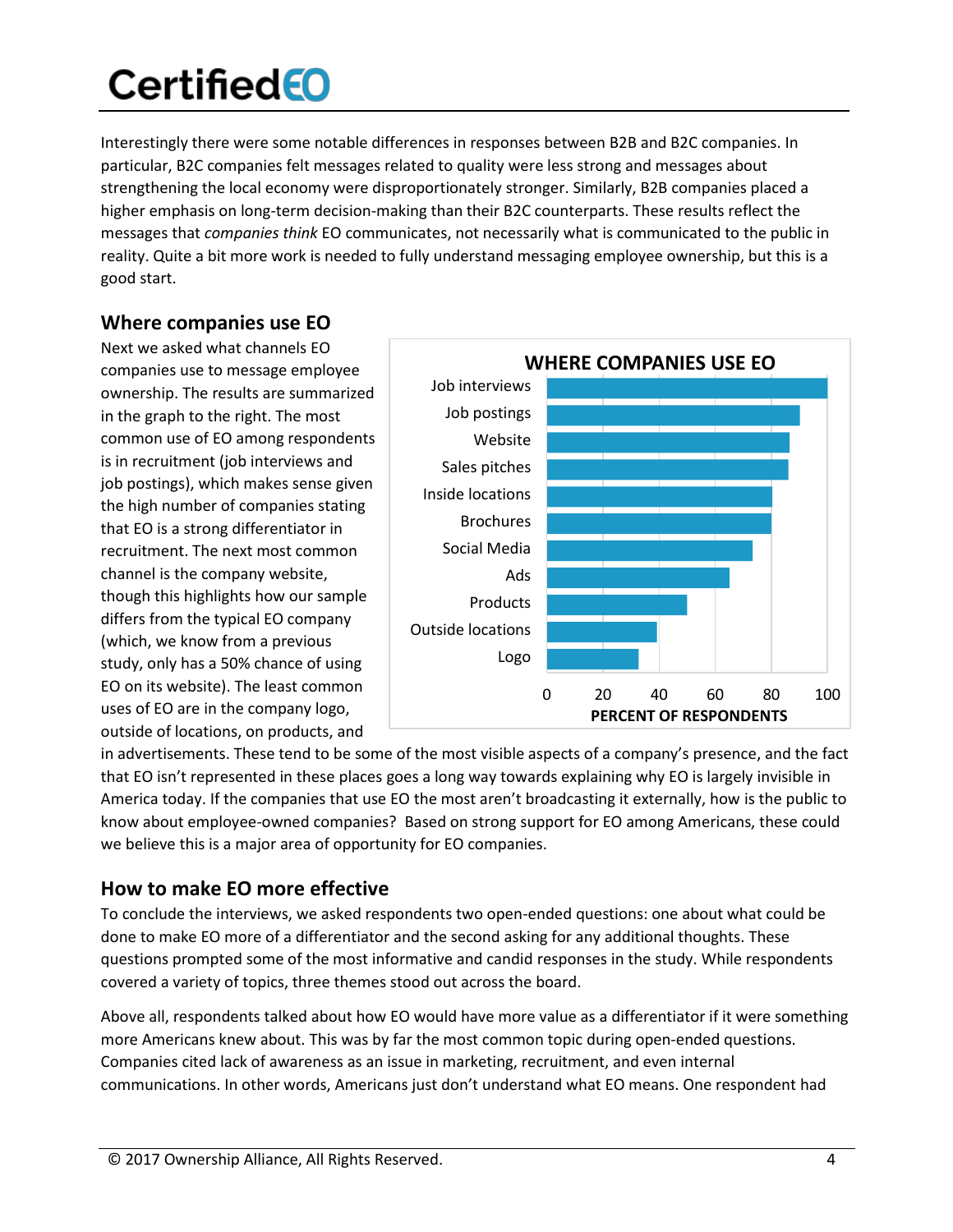Interestingly there were some notable differences in responses between B2B and B2C companies. In particular, B2C companies felt messages related to quality were less strong and messages about strengthening the local economy were disproportionately stronger. Similarly, B2B companies placed a higher emphasis on long-term decision-making than their B2C counterparts. These results reflect the messages that *companies think* EO communicates, not necessarily what is communicated to the public in reality. Quite a bit more work is needed to fully understand messaging employee ownership, but this is a good start.

### **Where companies use EO**

Next we asked what channels EO companies use to message employee ownership. The results are summarized in the graph to the right. The most common use of EO among respondents is in recruitment (job interviews and job postings), which makes sense given the high number of companies stating that EO is a strong differentiator in recruitment. The next most common channel is the company website, though this highlights how our sample differs from the typical EO company (which, we know from a previous study, only has a 50% chance of using EO on its website). The least common uses of EO are in the company logo, outside of locations, on products, and



in advertisements. These tend to be some of the most visible aspects of a company's presence, and the fact that EO isn't represented in these places goes a long way towards explaining why EO is largely invisible in America today. If the companies that use EO the most aren't broadcasting it externally, how is the public to know about employee-owned companies? Based on strong support for EO among Americans, these could we believe this is a major area of opportunity for EO companies.

### **How to make EO more effective**

To conclude the interviews, we asked respondents two open-ended questions: one about what could be done to make EO more of a differentiator and the second asking for any additional thoughts. These questions prompted some of the most informative and candid responses in the study. While respondents covered a variety of topics, three themes stood out across the board.

Above all, respondents talked about how EO would have more value as a differentiator if it were something more Americans knew about. This was by far the most common topic during open-ended questions. Companies cited lack of awareness as an issue in marketing, recruitment, and even internal communications. In other words, Americans just don't understand what EO means. One respondent had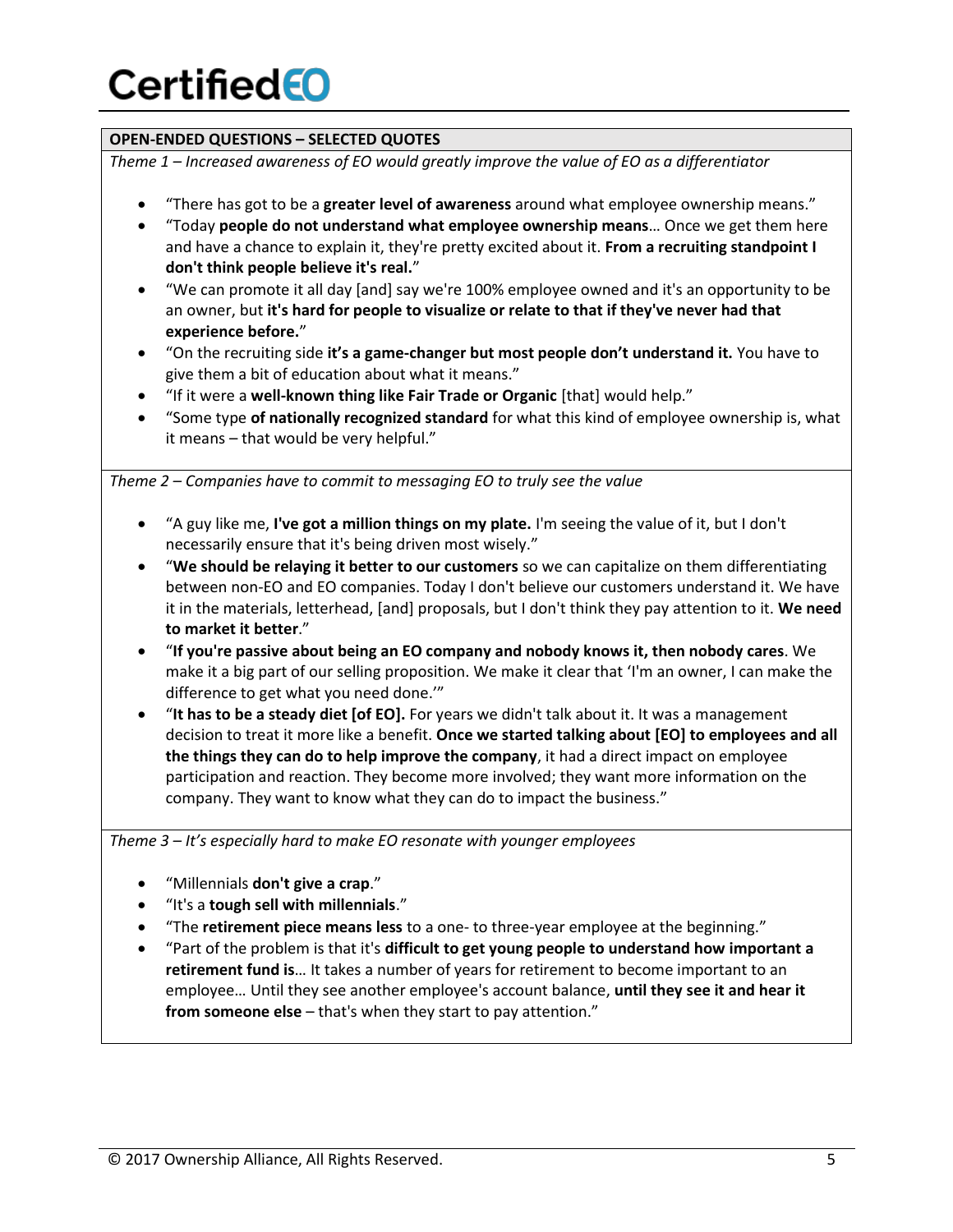#### **OPEN-ENDED QUESTIONS – SELECTED QUOTES**

*Theme 1 – Increased awareness of EO would greatly improve the value of EO as a differentiator*

- x "There has got to be a **greater level of awareness** around what employee ownership means."
- x "Today **people do not understand what employee ownership means**… Once we get them here and have a chance to explain it, they're pretty excited about it. **From a recruiting standpoint I don't think people believe it's real.**"
- "We can promote it all day [and] say we're 100% employee owned and it's an opportunity to be an owner, but **it's hard for people to visualize or relate to that if they've never had that experience before.**"
- x "On the recruiting side **it's a game-changer but most people don't understand it.** You have to give them a bit of education about what it means."
- x "If it were a **well-known thing like Fair Trade or Organic** [that] would help."
- x "Some type **of nationally recognized standard** for what this kind of employee ownership is, what it means – that would be very helpful."

*Theme 2 – Companies have to commit to messaging EO to truly see the value*

- x "A guy like me, **I've got a million things on my plate.** I'm seeing the value of it, but I don't necessarily ensure that it's being driven most wisely."
- x "**We should be relaying it better to our customers** so we can capitalize on them differentiating between non-EO and EO companies. Today I don't believe our customers understand it. We have it in the materials, letterhead, [and] proposals, but I don't think they pay attention to it. **We need to market it better**."
- x "**If you're passive about being an EO company and nobody knows it, then nobody cares**. We make it a big part of our selling proposition. We make it clear that 'I'm an owner, I can make the difference to get what you need done.'"
- **•** "It has to be a steady diet [of EO]. For years we didn't talk about it. It was a management decision to treat it more like a benefit. **Once we started talking about [EO] to employees and all the things they can do to help improve the company**, it had a direct impact on employee participation and reaction. They become more involved; they want more information on the company. They want to know what they can do to impact the business."

*Theme 3 – It's especially hard to make EO resonate with younger employees*

- x "Millennials **don't give a crap**."
- x "It's a **tough sell with millennials**."
- x "The **retirement piece means less** to a one- to three-year employee at the beginning."
- x "Part of the problem is that it's **difficult to get young people to understand how important a retirement fund is**… It takes a number of years for retirement to become important to an employee… Until they see another employee's account balance, **until they see it and hear it from someone else** – that's when they start to pay attention."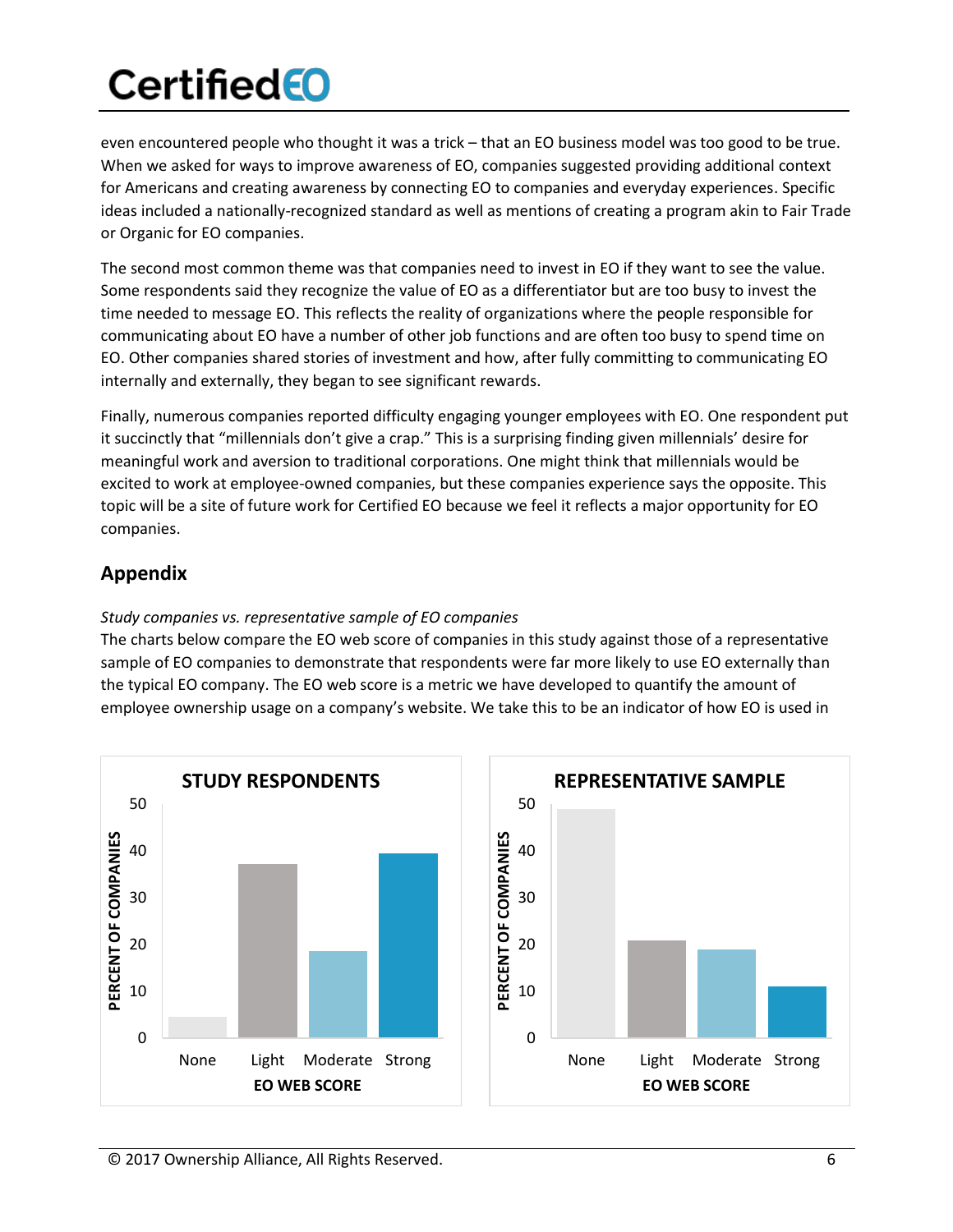even encountered people who thought it was a trick – that an EO business model was too good to be true. When we asked for ways to improve awareness of EO, companies suggested providing additional context for Americans and creating awareness by connecting EO to companies and everyday experiences. Specific ideas included a nationally-recognized standard as well as mentions of creating a program akin to Fair Trade or Organic for EO companies.

The second most common theme was that companies need to invest in EO if they want to see the value. Some respondents said they recognize the value of EO as a differentiator but are too busy to invest the time needed to message EO. This reflects the reality of organizations where the people responsible for communicating about EO have a number of other job functions and are often too busy to spend time on EO. Other companies shared stories of investment and how, after fully committing to communicating EO internally and externally, they began to see significant rewards.

Finally, numerous companies reported difficulty engaging younger employees with EO. One respondent put it succinctly that "millennials don't give a crap." This is a surprising finding given millennials' desire for meaningful work and aversion to traditional corporations. One might think that millennials would be excited to work at employee-owned companies, but these companies experience says the opposite. This topic will be a site of future work for Certified EO because we feel it reflects a major opportunity for EO companies.

### **Appendix**

#### *Study companies vs. representative sample of EO companies*

The charts below compare the EO web score of companies in this study against those of a representative sample of EO companies to demonstrate that respondents were far more likely to use EO externally than the typical EO company. The EO web score is a metric we have developed to quantify the amount of employee ownership usage on a company's website. We take this to be an indicator of how EO is used in

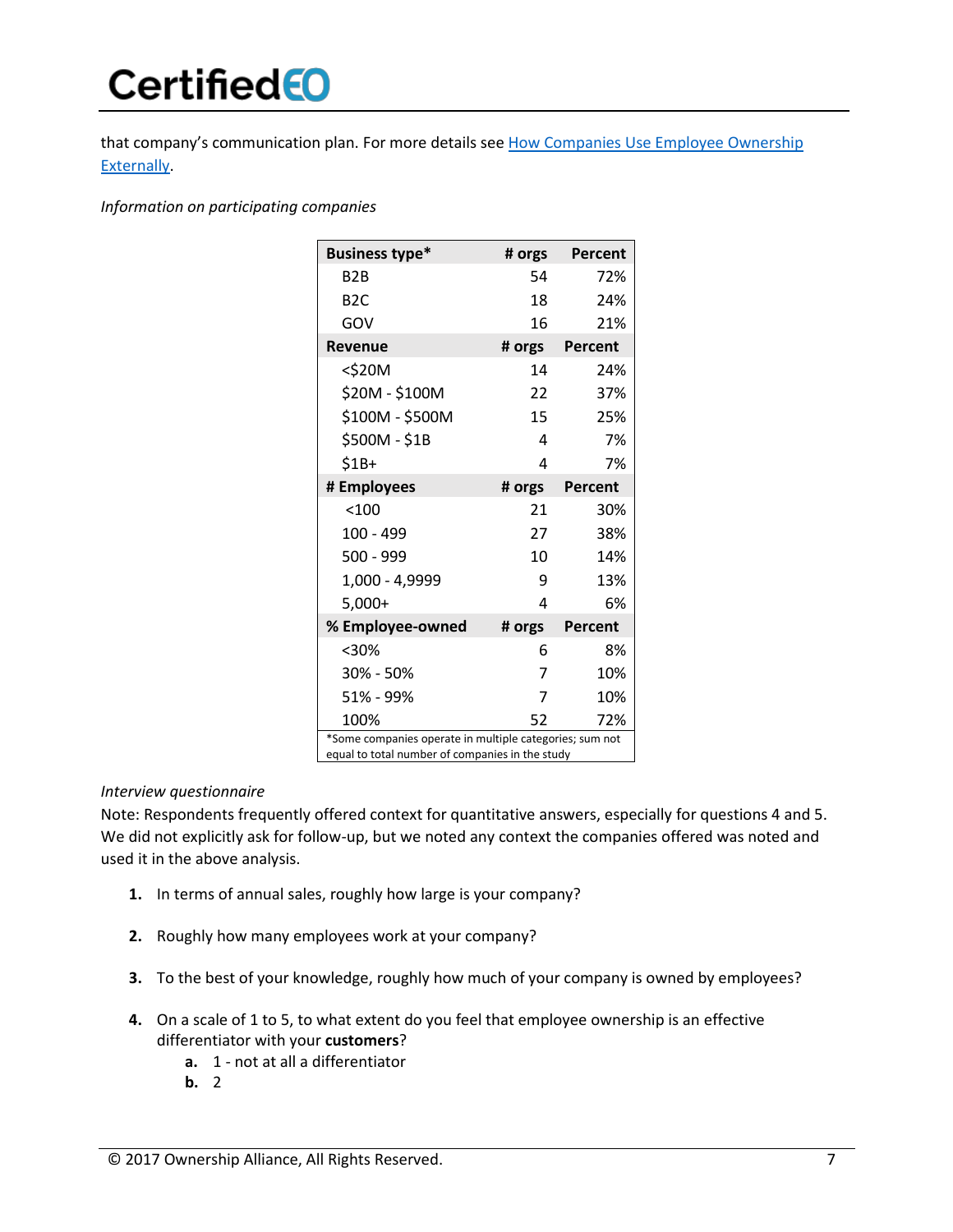that company's communication plan. For more details see [How Companies Use Employee Ownership](https://www.certifiedeo.com/documents/how-companies-use-eo-externally)  [Externally.](https://www.certifiedeo.com/documents/how-companies-use-eo-externally)

*Information on participating companies*

| <b>Business type*</b>                                                                                      | # orgs | Percent |  |
|------------------------------------------------------------------------------------------------------------|--------|---------|--|
| B <sub>2</sub> B                                                                                           | 54     | 72%     |  |
| B <sub>2</sub> C                                                                                           | 18     | 24%     |  |
| GOV                                                                                                        | 16     | 21%     |  |
| <b>Revenue</b>                                                                                             | # orgs | Percent |  |
| $<$ \$20M                                                                                                  | 14     | 24%     |  |
| \$20M - \$100M                                                                                             | 22     | 37%     |  |
| \$100M - \$500M                                                                                            | 15     | 25%     |  |
| \$500M - \$1B                                                                                              | 4      | 7%      |  |
| $$1B+$                                                                                                     | 4      | 7%      |  |
| # Employees                                                                                                | # orgs | Percent |  |
| < 100                                                                                                      | 21     | 30%     |  |
| $100 - 499$                                                                                                | 27     | 38%     |  |
| 500 - 999                                                                                                  | 10     | 14%     |  |
| 1,000 - 4,9999                                                                                             | 9      | 13%     |  |
| $5,000+$                                                                                                   | Δ      | 6%      |  |
| % Employee-owned                                                                                           | # orgs | Percent |  |
| $30%$                                                                                                      | 6      | 8%      |  |
| 30% - 50%                                                                                                  | 7      | 10%     |  |
| 51% - 99%                                                                                                  | 7      | 10%     |  |
| 100%                                                                                                       | 52     | 72%     |  |
| *Some companies operate in multiple categories; sum not<br>equal to total number of companies in the study |        |         |  |

#### *Interview questionnaire*

Note: Respondents frequently offered context for quantitative answers, especially for questions 4 and 5. We did not explicitly ask for follow-up, but we noted any context the companies offered was noted and used it in the above analysis.

- **1.** In terms of annual sales, roughly how large is your company?
- **2.** Roughly how many employees work at your company?
- **3.** To the best of your knowledge, roughly how much of your company is owned by employees?
- **4.** On a scale of 1 to 5, to what extent do you feel that employee ownership is an effective differentiator with your **customers**?
	- **a.** 1 not at all a differentiator
	- **b.** 2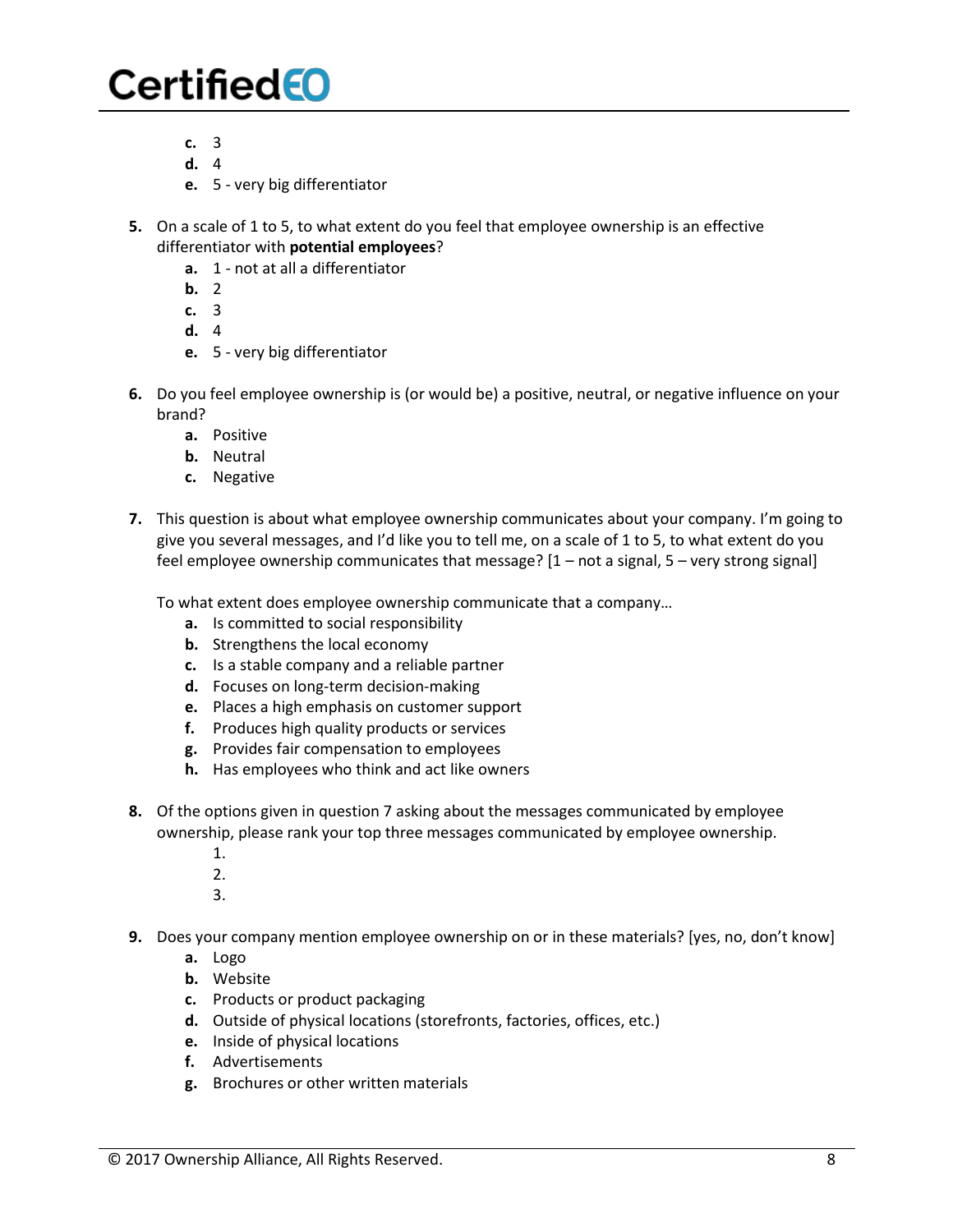- **c.** 3
- **d.** 4
- **e.** 5 very big differentiator
- **5.** On a scale of 1 to 5, to what extent do you feel that employee ownership is an effective differentiator with **potential employees**?
	- **a.** 1 not at all a differentiator
	- **b.** 2
	- **c.** 3
	- **d.** 4
	- **e.** 5 very big differentiator
- **6.** Do you feel employee ownership is (or would be) a positive, neutral, or negative influence on your brand?
	- **a.** Positive
	- **b.** Neutral
	- **c.** Negative
- **7.** This question is about what employee ownership communicates about your company. I'm going to give you several messages, and I'd like you to tell me, on a scale of 1 to 5, to what extent do you feel employee ownership communicates that message? [1 – not a signal, 5 – very strong signal]

To what extent does employee ownership communicate that a company…

- **a.** Is committed to social responsibility
- **b.** Strengthens the local economy
- **c.** Is a stable company and a reliable partner
- **d.** Focuses on long-term decision-making
- **e.** Places a high emphasis on customer support
- **f.** Produces high quality products or services
- **g.** Provides fair compensation to employees
- **h.** Has employees who think and act like owners
- **8.** Of the options given in question 7 asking about the messages communicated by employee ownership, please rank your top three messages communicated by employee ownership.
	- 1.
	- 2.
	- 3.
- **9.** Does your company mention employee ownership on or in these materials? [yes, no, don't know]
	- **a.** Logo
	- **b.** Website
	- **c.** Products or product packaging
	- **d.** Outside of physical locations (storefronts, factories, offices, etc.)
	- **e.** Inside of physical locations
	- **f.** Advertisements
	- **g.** Brochures or other written materials